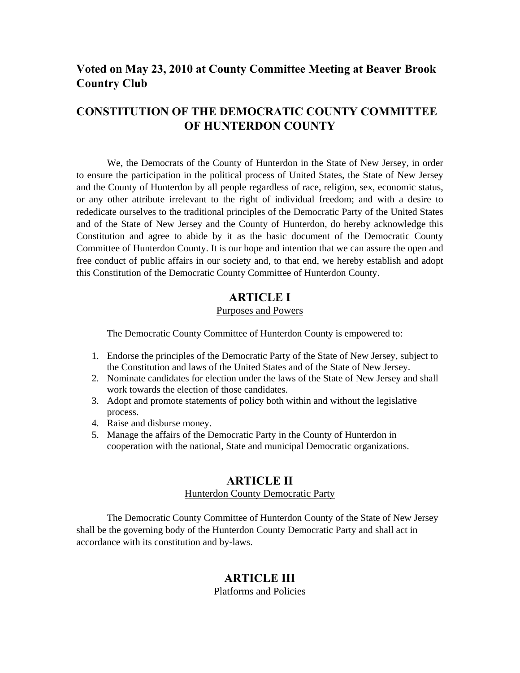# **Voted on May 23, 2010 at County Committee Meeting at Beaver Brook Country Club**

# **CONSTITUTION OF THE DEMOCRATIC COUNTY COMMITTEE OF HUNTERDON COUNTY**

We, the Democrats of the County of Hunterdon in the State of New Jersey, in order to ensure the participation in the political process of United States, the State of New Jersey and the County of Hunterdon by all people regardless of race, religion, sex, economic status, or any other attribute irrelevant to the right of individual freedom; and with a desire to rededicate ourselves to the traditional principles of the Democratic Party of the United States and of the State of New Jersey and the County of Hunterdon, do hereby acknowledge this Constitution and agree to abide by it as the basic document of the Democratic County Committee of Hunterdon County. It is our hope and intention that we can assure the open and free conduct of public affairs in our society and, to that end, we hereby establish and adopt this Constitution of the Democratic County Committee of Hunterdon County.

## **ARTICLE I**

#### Purposes and Powers

The Democratic County Committee of Hunterdon County is empowered to:

- 1. Endorse the principles of the Democratic Party of the State of New Jersey, subject to the Constitution and laws of the United States and of the State of New Jersey.
- 2. Nominate candidates for election under the laws of the State of New Jersey and shall work towards the election of those candidates.
- 3. Adopt and promote statements of policy both within and without the legislative process.
- 4. Raise and disburse money.
- 5. Manage the affairs of the Democratic Party in the County of Hunterdon in cooperation with the national, State and municipal Democratic organizations.

## **ARTICLE II**  Hunterdon County Democratic Party

The Democratic County Committee of Hunterdon County of the State of New Jersey shall be the governing body of the Hunterdon County Democratic Party and shall act in accordance with its constitution and by-laws.

## **ARTICLE III**  Platforms and Policies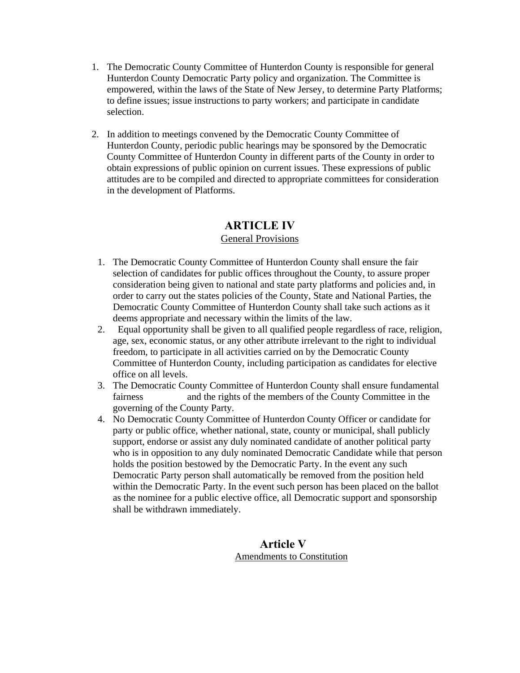- 1. The Democratic County Committee of Hunterdon County is responsible for general Hunterdon County Democratic Party policy and organization. The Committee is empowered, within the laws of the State of New Jersey, to determine Party Platforms; to define issues; issue instructions to party workers; and participate in candidate selection.
- 2. In addition to meetings convened by the Democratic County Committee of Hunterdon County, periodic public hearings may be sponsored by the Democratic County Committee of Hunterdon County in different parts of the County in order to obtain expressions of public opinion on current issues. These expressions of public attitudes are to be compiled and directed to appropriate committees for consideration in the development of Platforms.

# **ARTICLE IV**

#### General Provisions

- 1. The Democratic County Committee of Hunterdon County shall ensure the fair selection of candidates for public offices throughout the County, to assure proper consideration being given to national and state party platforms and policies and, in order to carry out the states policies of the County, State and National Parties, the Democratic County Committee of Hunterdon County shall take such actions as it deems appropriate and necessary within the limits of the law.
- 2. Equal opportunity shall be given to all qualified people regardless of race, religion, age, sex, economic status, or any other attribute irrelevant to the right to individual freedom, to participate in all activities carried on by the Democratic County Committee of Hunterdon County, including participation as candidates for elective office on all levels.
- 3. The Democratic County Committee of Hunterdon County shall ensure fundamental fairness and the rights of the members of the County Committee in the governing of the County Party.
- 4. No Democratic County Committee of Hunterdon County Officer or candidate for party or public office, whether national, state, county or municipal, shall publicly support, endorse or assist any duly nominated candidate of another political party who is in opposition to any duly nominated Democratic Candidate while that person holds the position bestowed by the Democratic Party. In the event any such Democratic Party person shall automatically be removed from the position held within the Democratic Party. In the event such person has been placed on the ballot as the nominee for a public elective office, all Democratic support and sponsorship shall be withdrawn immediately.

## **Article V** Amendments to Constitution